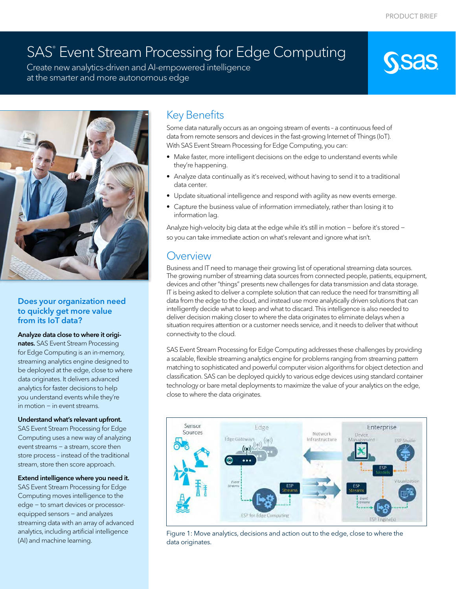# SAS® Event Stream Processing for Edge Computing

Create new analytics-driven and AI-empowered intelligence at the smarter and more autonomous edge



#### Does your organization need to quickly get more value from its IoT data?

#### Analyze data close to where it origi-

nates. SAS Event Stream Processing for Edge Computing is an in-memory, streaming analytics engine designed to be deployed at the edge, close to where data originates. It delivers advanced analytics for faster decisions to help you understand events while they're in motion − in event streams.

#### Understand what's relevant upfront.

SAS Event Stream Processing for Edge Computing uses a new way of analyzing event streams − a stream, score then store process – instead of the traditional stream, store then score approach.

#### Extend intelligence where you need it.

SAS Event Stream Processing for Edge Computing moves intelligence to the edge − to smart devices or processorequipped sensors – and analyzes streaming data with an array of advanced analytics, including artificial intelligence (AI) and machine learning.

# Key Benefits

Some data naturally occurs as an ongoing stream of events – a continuous feed of data from remote sensors and devices in the fast-growing Internet of Things (IoT). With SAS Event Stream Processing for Edge Computing, you can:

- Make faster, more intelligent decisions on the edge to understand events while they're happening.
- Analyze data continually as it's received, without having to send it to a traditional data center.
- Update situational intelligence and respond with agility as new events emerge.
- Capture the business value of information immediately, rather than losing it to information lag.

Analyze high-velocity big data at the edge while it's still in motion − before it's stored − so you can take immediate action on what's relevant and ignore what isn't.

## **Overview**

Business and IT need to manage their growing list of operational streaming data sources. The growing number of streaming data sources from connected people, patients, equipment, devices and other "things" presents new challenges for data transmission and data storage. IT is being asked to deliver a complete solution that can reduce the need for transmitting all data from the edge to the cloud, and instead use more analytically driven solutions that can intelligently decide what to keep and what to discard. This intelligence is also needed to deliver decision making closer to where the data originates to eliminate delays when a situation requires attention or a customer needs service, and it needs to deliver that without connectivity to the cloud.

SAS Event Stream Processing for Edge Computing addresses these challenges by providing a scalable, flexible streaming analytics engine for problems ranging from streaming pattern matching to sophisticated and powerful computer vision algorithms for object detection and classification. SAS can be deployed quickly to various edge devices using standard container technology or bare metal deployments to maximize the value of your analytics on the edge, close to where the data originates.



Figure 1: Move analytics, decisions and action out to the edge, close to where the data originates.